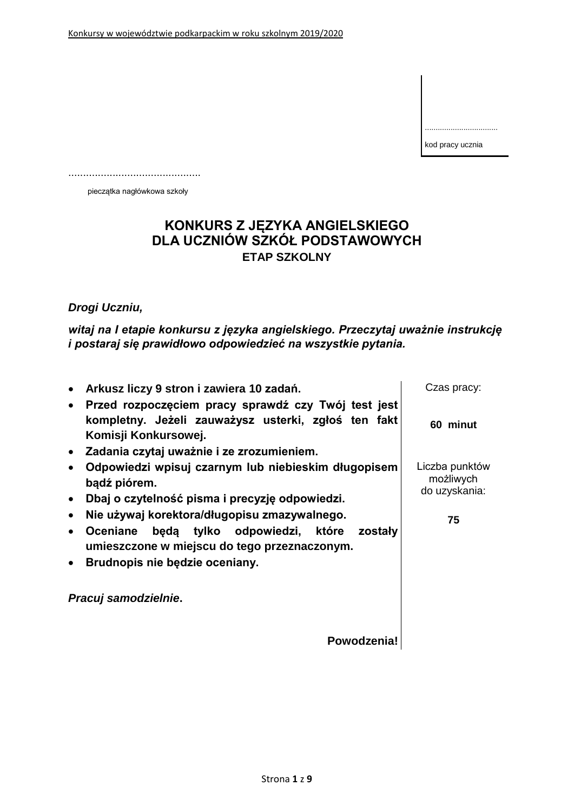.................................. kod pracy ucznia

.............................................

pieczątka nagłówkowa szkoły

## **KONKURS Z JĘZYKA ANGIELSKIEGO DLA UCZNIÓW SZKÓŁ PODSTAWOWYCH ETAP SZKOLNY**

*Drogi Uczniu,*

*witaj na I etapie konkursu z języka angielskiego. Przeczytaj uważnie instrukcję i postaraj się prawidłowo odpowiedzieć na wszystkie pytania.*

|           | Arkusz liczy 9 stron i zawiera 10 zadań.                                                                | Czas pracy:                                  |
|-----------|---------------------------------------------------------------------------------------------------------|----------------------------------------------|
| $\bullet$ | Przed rozpoczęciem pracy sprawdź czy Twój test jest                                                     |                                              |
|           | kompletny. Jeżeli zauważysz usterki, zgłoś ten fakt<br>Komisji Konkursowej.                             | 60 minut                                     |
| $\bullet$ | Zadania czytaj uważnie i ze zrozumieniem.                                                               |                                              |
|           | Odpowiedzi wpisuj czarnym lub niebieskim długopisem<br>bądź piórem.                                     | Liczba punktów<br>możliwych<br>do uzyskania: |
| $\bullet$ | Dbaj o czytelność pisma i precyzję odpowiedzi.                                                          |                                              |
|           | Nie używaj korektora/długopisu zmazywalnego.                                                            | 75                                           |
| $\bullet$ | będą tylko odpowiedzi, które zostały<br><b>Oceniane</b><br>umieszczone w miejscu do tego przeznaczonym. |                                              |
| $\bullet$ | Brudnopis nie będzie oceniany.                                                                          |                                              |
|           | Pracuj samodzielnie.                                                                                    |                                              |
|           | Powodzenia!                                                                                             |                                              |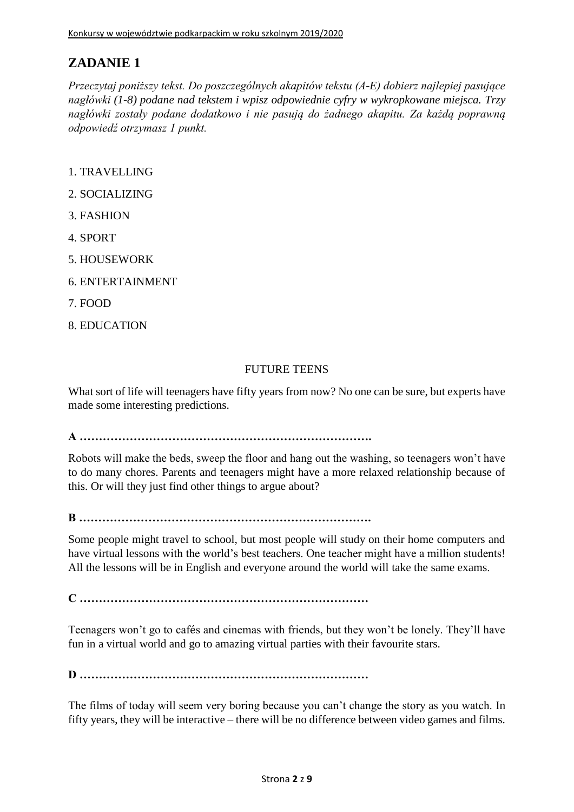*Przeczytaj poniższy tekst. Do poszczególnych akapitów tekstu (A-E) dobierz najlepiej pasujące nagłówki (1-8) podane nad tekstem i wpisz odpowiednie cyfry w wykropkowane miejsca. Trzy nagłówki zostały podane dodatkowo i nie pasują do żadnego akapitu. Za każdą poprawną odpowiedź otrzymasz 1 punkt.*

- 1. TRAVELLING
- 2. SOCIALIZING
- 3. FASHION
- 4. SPORT
- 5. HOUSEWORK
- 6. ENTERTAINMENT
- 7. FOOD
- 8. EDUCATION

#### FUTURE TEENS

What sort of life will teenagers have fifty years from now? No one can be sure, but experts have made some interesting predictions.

**A ………………………………………………………………….**

Robots will make the beds, sweep the floor and hang out the washing, so teenagers won't have to do many chores. Parents and teenagers might have a more relaxed relationship because of this. Or will they just find other things to argue about?

**B ………………………………………………………………….**

Some people might travel to school, but most people will study on their home computers and have virtual lessons with the world's best teachers. One teacher might have a million students! All the lessons will be in English and everyone around the world will take the same exams.

**C …………………………………………………………………**

Teenagers won't go to cafés and cinemas with friends, but they won't be lonely. They'll have fun in a virtual world and go to amazing virtual parties with their favourite stars.

**D …………………………………………………………………**

The films of today will seem very boring because you can't change the story as you watch. In fifty years, they will be interactive – there will be no difference between video games and films.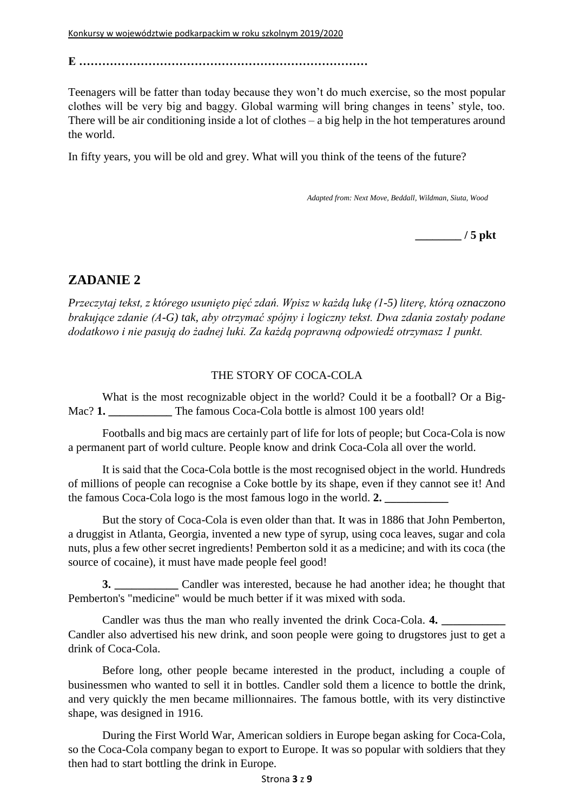**E …………………………………………………………………**

Teenagers will be fatter than today because they won't do much exercise, so the most popular clothes will be very big and baggy. Global warming will bring changes in teens' style, too. There will be air conditioning inside a lot of clothes – a big help in the hot temperatures around the world.

In fifty years, you will be old and grey. What will you think of the teens of the future?

*Adapted from: Next Move, Beddall, Wildman, Siuta, Wood*

**\_\_\_\_\_\_\_\_ / 5 pkt**

#### **ZADANIE 2**

*Przeczytaj tekst, z którego usunięto pięć zdań. Wpisz w każdą lukę (1-5) literę, którą oznaczono brakujące zdanie (A-G) tak, aby otrzymać spójny i logiczny tekst. Dwa zdania zostały podane dodatkowo i nie pasują do żadnej luki. Za każdą poprawną odpowiedź otrzymasz 1 punkt.*

#### THE STORY OF COCA-COLA

What is the most recognizable object in the world? Could it be a football? Or a Big-Mac? **1.** The famous Coca-Cola bottle is almost 100 years old!

Footballs and big macs are certainly part of life for lots of people; but Coca-Cola is now a permanent part of world culture. People know and drink Coca-Cola all over the world.

It is said that the Coca-Cola bottle is the most recognised object in the world. Hundreds of millions of people can recognise a Coke bottle by its shape, even if they cannot see it! And the famous Coca-Cola logo is the most famous logo in the world. **2. \_\_\_\_\_\_\_\_\_\_\_**

But the story of Coca-Cola is even older than that. It was in 1886 that John Pemberton, a druggist in Atlanta, Georgia, invented a new type of syrup, using coca leaves, sugar and cola nuts, plus a few other secret ingredients! Pemberton sold it as a medicine; and with its coca (the source of cocaine), it must have made people feel good!

**3.** Candler was interested, because he had another idea; he thought that Pemberton's "medicine" would be much better if it was mixed with soda.

Candler was thus the man who really invented the drink Coca-Cola. **4. \_\_\_\_\_\_\_\_\_\_\_** Candler also advertised his new drink, and soon people were going to drugstores just to get a drink of Coca-Cola.

Before long, other people became interested in the product, including a couple of businessmen who wanted to sell it in bottles. Candler sold them a licence to bottle the drink, and very quickly the men became millionnaires. The famous bottle, with its very distinctive shape, was designed in 1916.

During the First World War, American soldiers in Europe began asking for Coca-Cola, so the Coca-Cola company began to export to Europe. It was so popular with soldiers that they then had to start bottling the drink in Europe.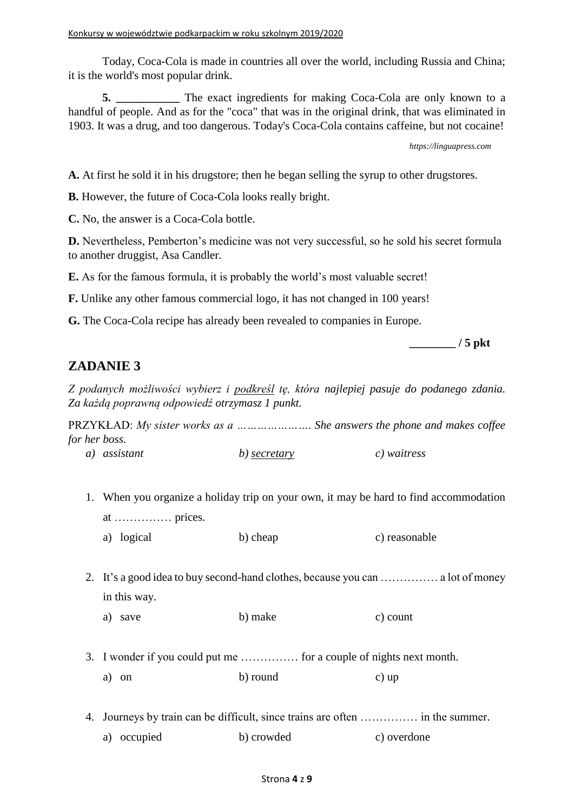Today, Coca-Cola is made in countries all over the world, including Russia and China; it is the world's most popular drink.

**5.** The exact ingredients for making Coca-Cola are only known to a handful of people. And as for the "coca" that was in the original drink, that was eliminated in 1903. It was a drug, and too dangerous. Today's Coca-Cola contains caffeine, but not cocaine!

*https://linguapress.com*

**A.** At first he sold it in his drugstore; then he began selling the syrup to other drugstores.

**B.** However, the future of Coca-Cola looks really bright.

**C.** No, the answer is a Coca-Cola bottle.

**D.** Nevertheless, Pemberton's medicine was not very successful, so he sold his secret formula to another druggist, Asa Candler.

**E.** As for the famous formula, it is probably the world's most valuable secret!

**F.** Unlike any other famous commercial logo, it has not changed in 100 years!

**G.** The Coca-Cola recipe has already been revealed to companies in Europe.

**\_\_\_\_\_\_\_\_ / 5 pkt**

### **ZADANIE 3**

*Z podanych możliwości wybierz i podkreśl tę, która najlepiej pasuje do podanego zdania. Za każdą poprawną odpowiedź otrzymasz 1 punkt.*

PRZYKŁAD: *My sister works as a …………………. She answers the phone and makes coffee for her boss.*

|  | a) assistant | b) secretary | c) waitress |
|--|--------------|--------------|-------------|
|--|--------------|--------------|-------------|

- 1. When you organize a holiday trip on your own, it may be hard to find accommodation at …………… prices.
	- a) logical b) cheap c) reasonable
- 2. It's a good idea to buy second-hand clothes, because you can …………… a lot of money in this way.
	- a) save b) make c) count
- 3. I wonder if you could put me …………… for a couple of nights next month. a) on b) round c) up
- 4. Journeys by train can be difficult, since trains are often …………… in the summer.
	- a) occupied b) crowded c) overdone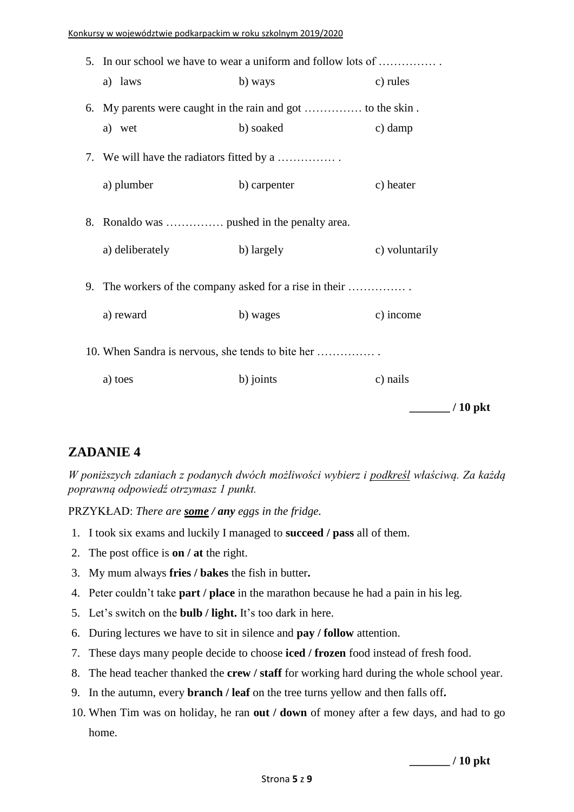| 5. In our school we have to wear a uniform and follow lots of |              |                        |
|---------------------------------------------------------------|--------------|------------------------|
| a) laws                                                       | b) ways      | c) rules               |
|                                                               |              |                        |
| a) wet                                                        | b) soaked    | c) damp                |
| 7. We will have the radiators fitted by a                     |              |                        |
| a) plumber                                                    | b) carpenter | c) heater              |
| 8. Ronaldo was  pushed in the penalty area.                   |              |                        |
| a) deliberately                                               | b) largely   | c) voluntarily         |
| 9. The workers of the company asked for a rise in their       |              |                        |
| a) reward                                                     | b) wages     | c) income              |
| 10. When Sandra is nervous, she tends to bite her             |              |                        |
| a) toes                                                       | b) joints    | c) nails               |
|                                                               |              | $\frac{1}{2}$ / 10 pkt |

*W poniższych zdaniach z podanych dwóch możliwości wybierz i podkreśl właściwą. Za każdą poprawną odpowiedź otrzymasz 1 punkt.*

PRZYKŁAD: *There are some / any eggs in the fridge.*

- 1. I took six exams and luckily I managed to **succeed / pass** all of them.
- 2. The post office is **on / at** the right.
- 3. My mum always **fries / bakes** the fish in butter**.**
- 4. Peter couldn't take **part / place** in the marathon because he had a pain in his leg.
- 5. Let's switch on the **bulb / light.** It's too dark in here.
- 6. During lectures we have to sit in silence and **pay / follow** attention.
- 7. These days many people decide to choose **iced / frozen** food instead of fresh food.
- 8. The head teacher thanked the **crew / staff** for working hard during the whole school year.
- 9. In the autumn, every **branch / leaf** on the tree turns yellow and then falls off**.**
- 10. When Tim was on holiday, he ran **out / down** of money after a few days, and had to go home.

**\_\_\_\_\_\_\_ / 10 pkt**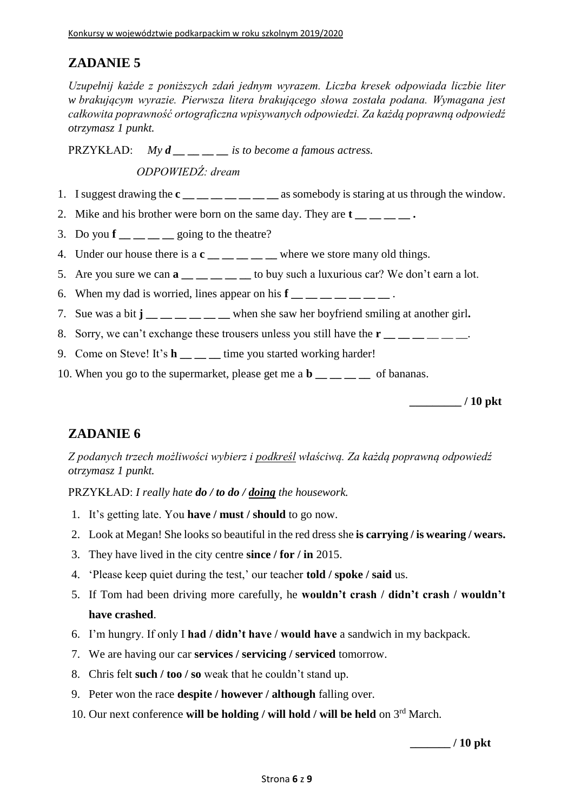*Uzupełnij każde z poniższych zdań jednym wyrazem. Liczba kresek odpowiada liczbie liter w brakującym wyrazie. Pierwsza litera brakującego słowa została podana. Wymagana jest całkowita poprawność ortograficzna wpisywanych odpowiedzi. Za każdą poprawną odpowiedź otrzymasz 1 punkt.*

PRZYKŁAD: *My d \_\_ \_\_ \_\_ \_\_ is to become a famous actress.*

*ODPOWIEDŹ: dream*

- 1. I suggest drawing the **c \_\_ \_\_ \_\_ \_\_ \_\_ \_\_ \_\_** as somebody is staring at us through the window.
- 2. Mike and his brother were born on the same day. They are **t**
- 3. Do you  $\mathbf{f}$  \_\_ \_ going to the theatre?
- 4. Under our house there is a  $c_$  \_\_ \_ \_ \_ \_ where we store many old things.
- 5. Are you sure we can **a \_\_ \_\_ \_\_ \_\_ \_\_** to buy such a luxurious car? We don't earn a lot.
- 6. When my dad is worried, lines appear on his  $\mathbf{f} = \mathbf{f} = \mathbf{f} = \mathbf{f} = \mathbf{f}$
- 7. Sue was a bit **j \_\_ \_\_ \_\_ \_\_ \_\_ \_\_** when she saw her boyfriend smiling at another girl**.**
- 8. Sorry, we can't exchange these trousers unless you still have the  $\mathbf{r}_{\text{max}} = \mathbf{r}_{\text{max}}$ .
- 9. Come on Steve! It's **h time you started working harder!**
- 10. When you go to the supermarket, please get me a **b \_\_ \_\_ \_\_ \_\_** of bananas.

**\_\_\_\_\_\_\_\_\_ / 10 pkt**

### **ZADANIE 6**

*Z podanych trzech możliwości wybierz i podkreśl właściwą. Za każdą poprawną odpowiedź otrzymasz 1 punkt.*

PRZYKŁAD: *I really hate do / to do / doing the housework.*

- 1. It's getting late. You **have / must / should** to go now.
- 2. Look at Megan! She looks so beautiful in the red dress she **is carrying / is wearing / wears.**
- 3. They have lived in the city centre **since / for / in** 2015.
- 4. 'Please keep quiet during the test,' our teacher **told / spoke / said** us.
- 5. If Tom had been driving more carefully, he **wouldn't crash / didn't crash / wouldn't have crashed**.
- 6. I'm hungry. If only I **had / didn't have / would have** a sandwich in my backpack.
- 7. We are having our car **services / servicing / serviced** tomorrow.
- 8. Chris felt **such / too / so** weak that he couldn't stand up.
- 9. Peter won the race **despite / however / although** falling over.
- 10. Our next conference **will be holding / will hold / will be held** on 3rd March.

**\_\_\_\_\_\_\_ / 10 pkt**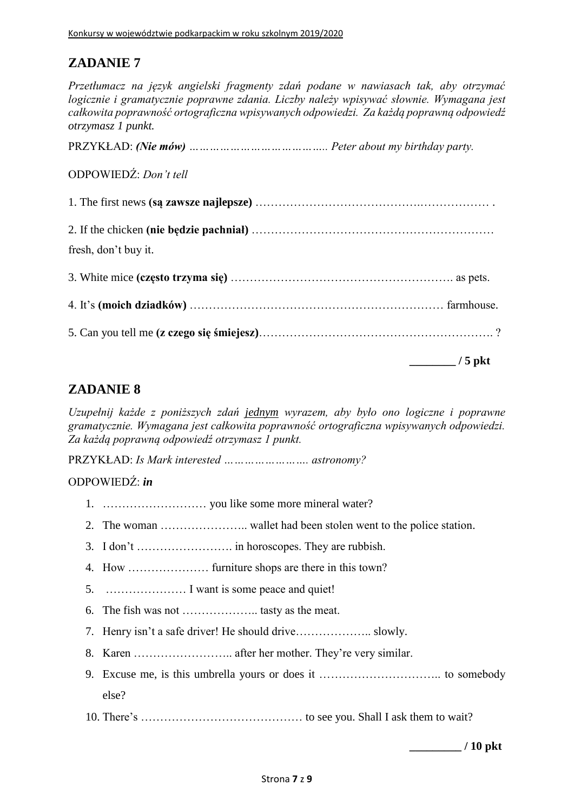*Przetłumacz na język angielski fragmenty zdań podane w nawiasach tak, aby otrzymać logicznie i gramatycznie poprawne zdania. Liczby należy wpisywać słownie. Wymagana jest całkowita poprawność ortograficzna wpisywanych odpowiedzi. Za każdą poprawną odpowiedź otrzymasz 1 punkt.*

PRZYKŁAD: *(Nie mów) ………………………………….. Peter about my birthday party.*

ODPOWIEDŹ: *Don't tell*

| fresh, don't buy it. |                       |
|----------------------|-----------------------|
|                      |                       |
|                      |                       |
|                      |                       |
|                      | $\frac{1}{2}$ / 5 pkt |

### **ZADANIE 8**

*Uzupełnij każde z poniższych zdań jednym wyrazem, aby było ono logiczne i poprawne gramatycznie. Wymagana jest całkowita poprawność ortograficzna wpisywanych odpowiedzi. Za każdą poprawną odpowiedź otrzymasz 1 punkt.*

PRZYKŁAD: *Is Mark interested ……………………. astronomy?*

#### ODPOWIEDŹ: *in*

- 1. ……………………… you like some more mineral water?
- 2. The woman ………………….. wallet had been stolen went to the police station.
- 3. I don't ……………………. in horoscopes. They are rubbish.
- 4. How ………………… furniture shops are there in this town?
- 5. ………………… I want is some peace and quiet!
- 6. The fish was not ……………….. tasty as the meat.
- 7. Henry isn't a safe driver! He should drive……………….. slowly.
- 8. Karen …………………….. after her mother. They're very similar.
- 9. Excuse me, is this umbrella yours or does it ………………………….. to somebody else?
- 10. There's …………………………………… to see you. Shall I ask them to wait?

**\_\_\_\_\_\_\_\_\_ / 10 pkt**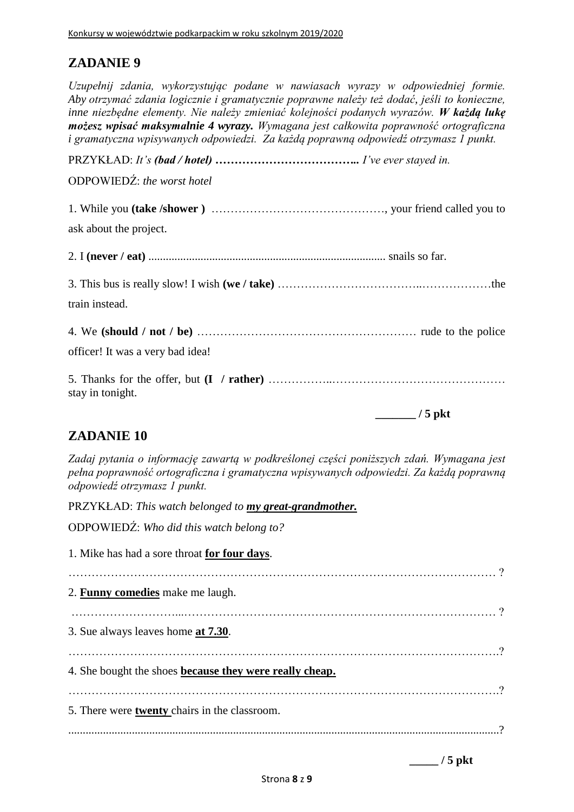*Uzupełnij zdania, wykorzystując podane w nawiasach wyrazy w odpowiedniej formie. Aby otrzymać zdania logicznie i gramatycznie poprawne należy też dodać, jeśli to konieczne, inne niezbędne elementy. Nie należy zmieniać kolejności podanych wyrazów. W każdą lukę możesz wpisać maksymalnie 4 wyrazy. Wymagana jest całkowita poprawność ortograficzna i gramatyczna wpisywanych odpowiedzi. Za każdą poprawną odpowiedź otrzymasz 1 punkt.*

PRZYKŁAD: *It's (bad / hotel) ……………………………….. I've ever stayed in.*

ODPOWIEDŹ: *the worst hotel*

1. While you **(take /shower )** ………………………………………, your friend called you to ask about the project. 2. I **(never / eat)** .................................................................................. snails so far. 3. This bus is really slow! I wish **(we / take)** ………………………………..………………the train instead. 4. We **(should / not / be)** ………………………………………………… rude to the police officer! It was a very bad idea! 5. Thanks for the offer, but **(I / rather)** ……………..……………………………………… stay in tonight. **\_\_\_\_\_\_\_ / 5 pkt**

# **ZADANIE 10**

*Zadaj pytania o informację zawartą w podkreślonej części poniższych zdań. Wymagana jest pełna poprawność ortograficzna i gramatyczna wpisywanych odpowiedzi. Za każdą poprawną odpowiedź otrzymasz 1 punkt.*

PRZYKŁAD: *This watch belonged to my great-grandmother.*

ODPOWIEDŹ: *Who did this watch belong to?*

| 1. Mike has had a sore throat for four days.            |
|---------------------------------------------------------|
|                                                         |
| 2. <b>Funny comedies</b> make me laugh.                 |
|                                                         |
| 3. Sue always leaves home at 7.30.                      |
|                                                         |
| 4. She bought the shoes because they were really cheap. |
|                                                         |
| 5. There were <b>twenty</b> chairs in the classroom.    |
|                                                         |